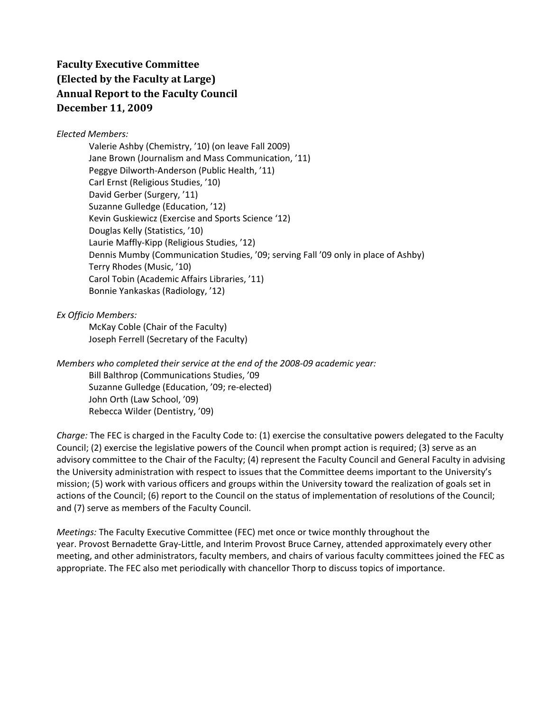## **Faculty Executive Committee (Elected by the Faculty at Large) Annual Report to the Faculty Council December 11, 2009**

## *Elected Members:*

Valerie Ashby (Chemistry, '10) (on leave Fall 2009) Jane Brown (Journalism and Mass Communication, '11) Peggye Dilworth‐Anderson (Public Health, '11) Carl Ernst (Religious Studies, '10) David Gerber (Surgery, '11) Suzanne Gulledge (Education, '12) Kevin Guskiewicz (Exercise and Sports Science '12) Douglas Kelly (Statistics, '10) Laurie Maffly‐Kipp (Religious Studies, '12) Dennis Mumby (Communication Studies, '09; serving Fall '09 only in place of Ashby) Terry Rhodes (Music, '10) Carol Tobin (Academic Affairs Libraries, '11) Bonnie Yankaskas (Radiology, '12)

*Ex Officio Members:*

McKay Coble (Chair of the Faculty) Joseph Ferrell (Secretary of the Faculty)

*Members who completed their service at the end of the 2008‐09 academic year:* Bill Balthrop (Communications Studies, '09 Suzanne Gulledge (Education, '09; re‐elected) John Orth (Law School, '09) Rebecca Wilder (Dentistry, '09)

*Charge:* The FEC is charged in the Faculty Code to: (1) exercise the consultative powers delegated to the Faculty Council; (2) exercise the legislative powers of the Council when prompt action is required; (3) serve as an advisory committee to the Chair of the Faculty; (4) represent the Faculty Council and General Faculty in advising the University administration with respect to issues that the Committee deems important to the University's mission; (5) work with various officers and groups within the University toward the realization of goals set in actions of the Council; (6) report to the Council on the status of implementation of resolutions of the Council; and (7) serve as members of the Faculty Council.

*Meetings:* The Faculty Executive Committee (FEC) met once or twice monthly throughout the year. Provost Bernadette Gray‐Little, and Interim Provost Bruce Carney, attended approximately every other meeting, and other administrators, faculty members, and chairs of various faculty committees joined the FEC as appropriate. The FEC also met periodically with chancellor Thorp to discuss topics of importance.